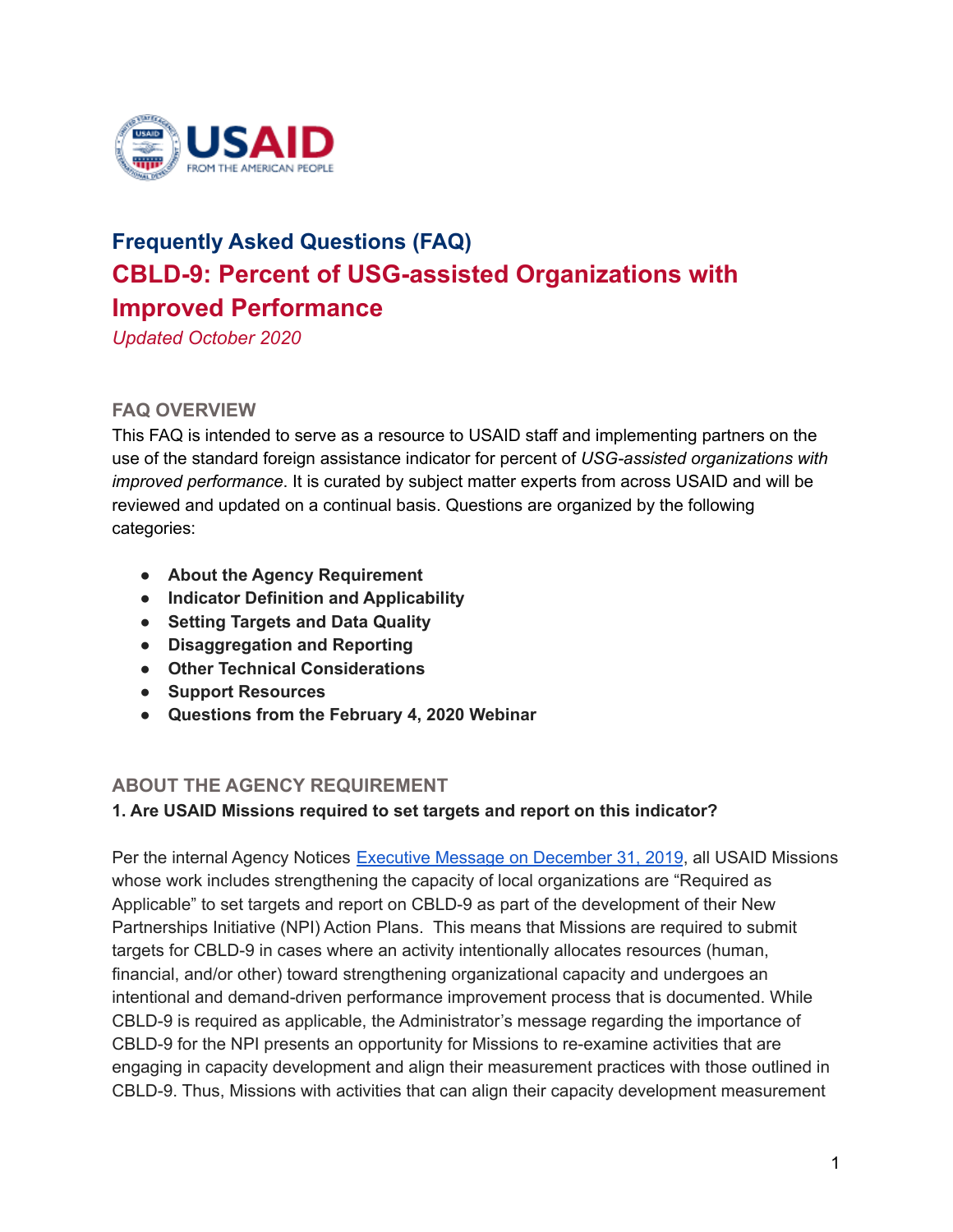

# **Frequently Asked Questions (FAQ) CBLD-9: Percent of USG-assisted Organizations with Improved Performance**

*Updated October 2020*

# **FAQ OVERVIEW**

This FAQ is intended to serve as a resource to USAID staff and implementing partners on the use of the standard foreign assistance indicator for percent of *USG-assisted organizations with improved performance*. It is curated by subject matter experts from across USAID and will be reviewed and updated on a continual basis. Questions are organized by the following categories:

- **● About the Agency Requirement**
- **● Indicator Definition and Applicability**
- **● Setting Targets and Data Quality**
- **● Disaggregation and Reporting**
- **● Other Technical Considerations**
- **● Support Resources**
- **● Questions from the February 4, 2020 Webinar**

# **ABOUT THE AGENCY REQUIREMENT**

#### **1. Are USAID Missions required to set targets and report on this indicator?**

Per the internal Agency Notices Executive Message on [December](https://notices.usaid.gov/notice/54522) 31, 2019, all USAID Missions whose work includes strengthening the capacity of local organizations are "Required as Applicable" to set targets and report on CBLD-9 as part of the development of their New Partnerships Initiative (NPI) Action Plans. This means that Missions are required to submit targets for CBLD-9 in cases where an activity intentionally allocates resources (human, financial, and/or other) toward strengthening organizational capacity and undergoes an intentional and demand-driven performance improvement process that is documented. While CBLD-9 is required as applicable, the Administrator's message regarding the importance of CBLD-9 for the NPI presents an opportunity for Missions to re-examine activities that are engaging in capacity development and align their measurement practices with those outlined in CBLD-9. Thus, Missions with activities that can align their capacity development measurement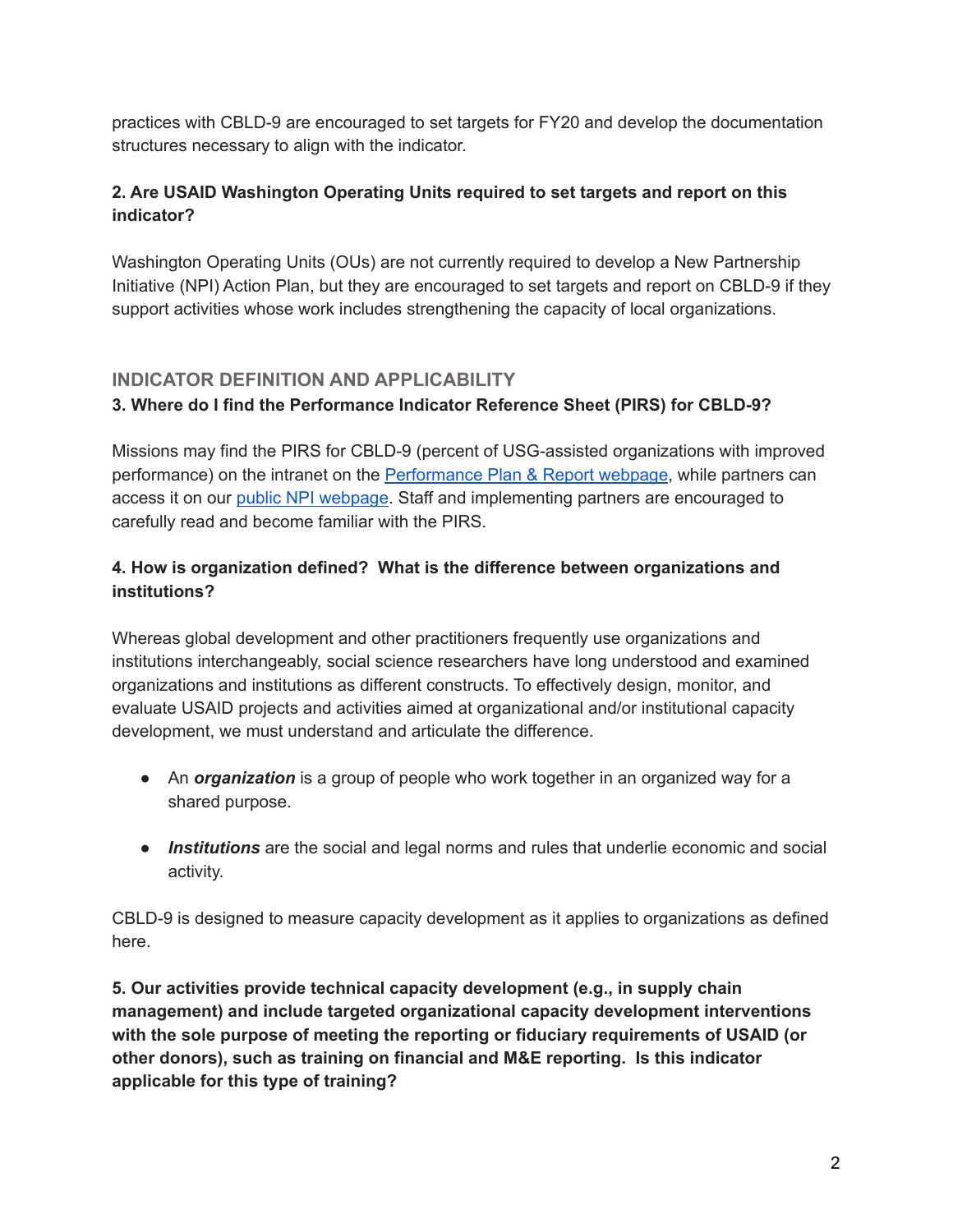practices with CBLD-9 are encouraged to set targets for FY20 and develop the documentation structures necessary to align with the indicator.

# **2. Are USAID Washington Operating Units required to set targets and report on this indicator?**

Washington Operating Units (OUs) are not currently required to develop a New Partnership Initiative (NPI) Action Plan, but they are encouraged to set targets and report on CBLD-9 if they support activities whose work includes strengthening the capacity of local organizations.

# **INDICATOR DEFINITION AND APPLICABILITY**

# **3. Where do I find the Performance Indicator Reference Sheet (PIRS) for CBLD-9?**

Missions may find the PIRS for CBLD-9 (percent of USG-assisted organizations with improved performance) on the intranet on the [Performance](https://pages.usaid.gov/F/ppr) Plan & Report webpage, while partners can access it on our public NPI [webpage.](https://www.usaid.gov/npi/capacity-building-indicator-resources) Staff and implementing partners are encouraged to carefully read and become familiar with the PIRS.

# **4. How is organization defined? What is the difference between organizations and institutions?**

Whereas global development and other practitioners frequently use organizations and institutions interchangeably, social science researchers have long understood and examined organizations and institutions as different constructs. To effectively design, monitor, and evaluate USAID projects and activities aimed at organizational and/or institutional capacity development, we must understand and articulate the difference.

- An *organization* is a group of people who work together in an organized way for a shared purpose.
- *Institutions* are the social and legal norms and rules that underlie economic and social activity.

CBLD-9 is designed to measure capacity development as it applies to organizations as defined here.

**5. Our activities provide technical capacity development (e.g., in supply chain management) and include targeted organizational capacity development interventions with the sole purpose of meeting the reporting or fiduciary requirements of USAID (or other donors), such as training on financial and M&E reporting. Is this indicator applicable for this type of training?**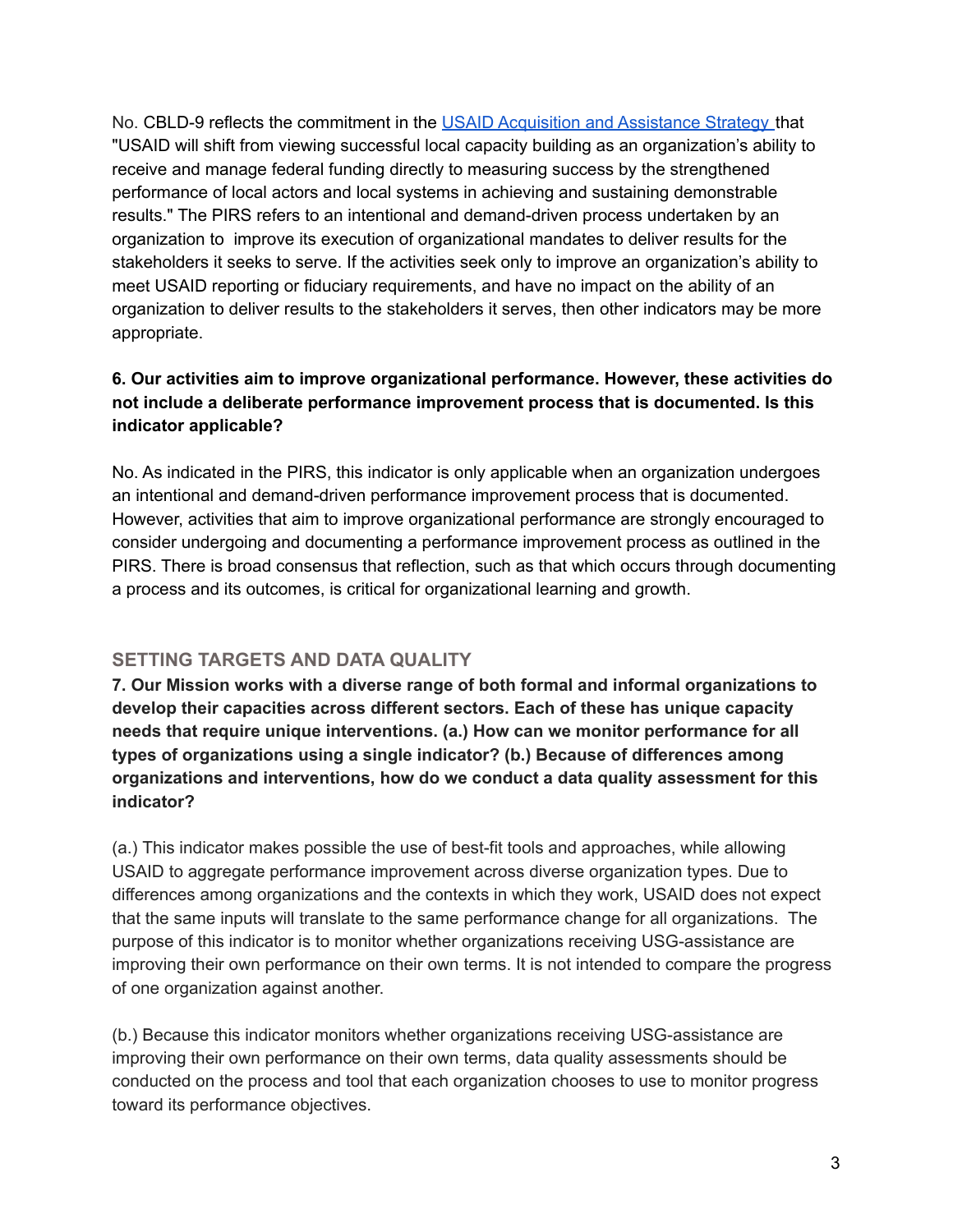No. CBLD-9 reflects the commitment in the USAID [Acquisition](https://www.usaid.gov/work-usaid/how-to-work-with-usaid/acquisition-and-assistance-strategy) and Assistance Strategy that "USAID will shift from viewing successful local capacity building as an organization's ability to receive and manage federal funding directly to measuring success by the strengthened performance of local actors and local systems in achieving and sustaining demonstrable results." The PIRS refers to an intentional and demand-driven process undertaken by an organization to improve its execution of organizational mandates to deliver results for the stakeholders it seeks to serve. If the activities seek only to improve an organization's ability to meet USAID reporting or fiduciary requirements, and have no impact on the ability of an organization to deliver results to the stakeholders it serves, then other indicators may be more appropriate.

## **6. Our activities aim to improve organizational performance. However, these activities do not include a deliberate performance improvement process that is documented. Is this indicator applicable?**

No. As indicated in the PIRS, this indicator is only applicable when an organization undergoes an intentional and demand-driven performance improvement process that is documented. However, activities that aim to improve organizational performance are strongly encouraged to consider undergoing and documenting a performance improvement process as outlined in the PIRS. There is broad consensus that reflection, such as that which occurs through documenting a process and its outcomes, is critical for organizational learning and growth.

# **SETTING TARGETS AND DATA QUALITY**

**7. Our Mission works with a diverse range of both formal and informal organizations to develop their capacities across different sectors. Each of these has unique capacity needs that require unique interventions. (a.) How can we monitor performance for all types of organizations using a single indicator? (b.) Because of differences among organizations and interventions, how do we conduct a data quality assessment for this indicator?**

(a.) This indicator makes possible the use of best-fit tools and approaches, while allowing USAID to aggregate performance improvement across diverse organization types. Due to differences among organizations and the contexts in which they work, USAID does not expect that the same inputs will translate to the same performance change for all organizations. The purpose of this indicator is to monitor whether organizations receiving USG-assistance are improving their own performance on their own terms. It is not intended to compare the progress of one organization against another.

(b.) Because this indicator monitors whether organizations receiving USG-assistance are improving their own performance on their own terms, data quality assessments should be conducted on the process and tool that each organization chooses to use to monitor progress toward its performance objectives.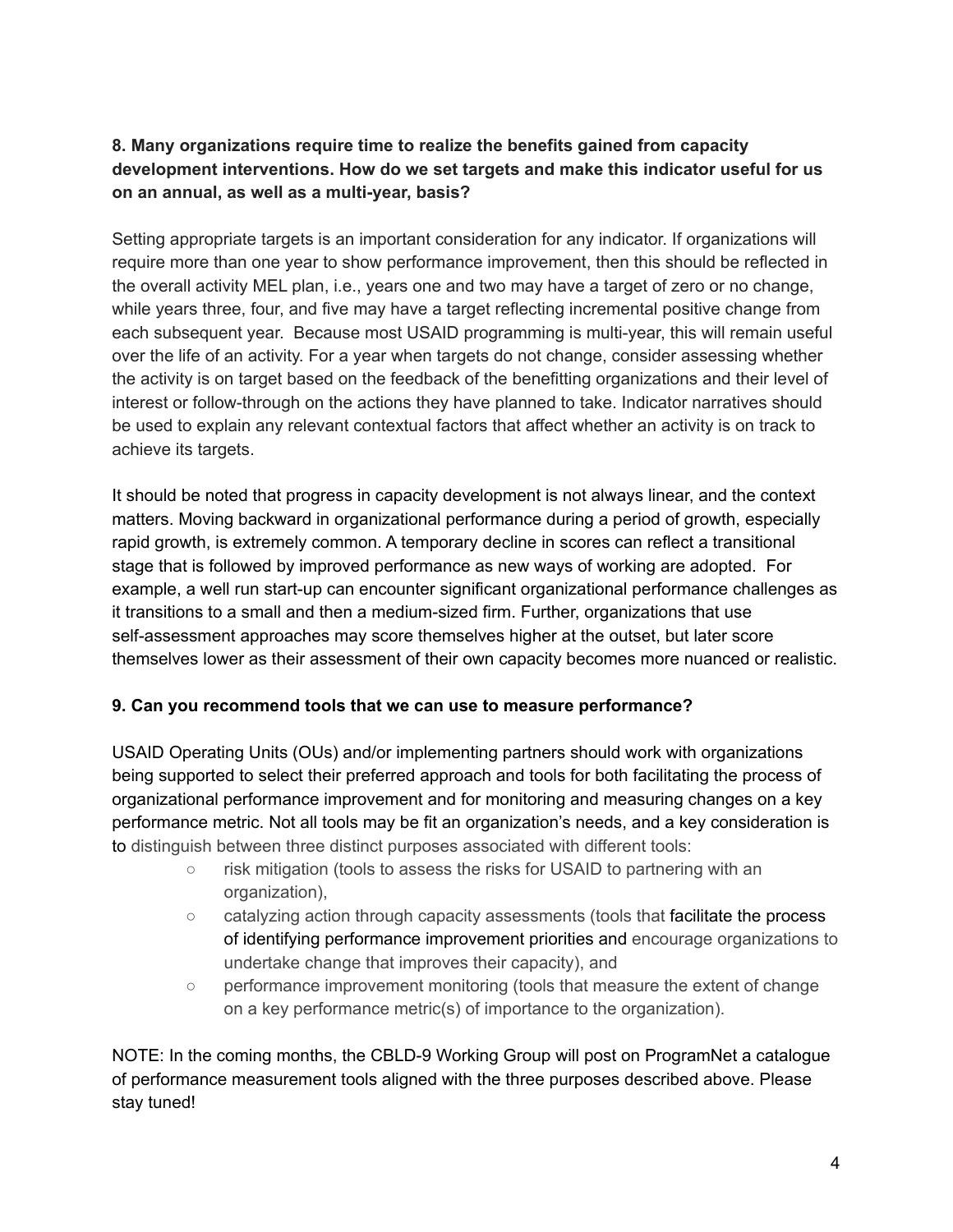# **8. Many organizations require time to realize the benefits gained from capacity development interventions. How do we set targets and make this indicator useful for us on an annual, as well as a multi-year, basis?**

Setting appropriate targets is an important consideration for any indicator. If organizations will require more than one year to show performance improvement, then this should be reflected in the overall activity MEL plan, i.e., years one and two may have a target of zero or no change, while years three, four, and five may have a target reflecting incremental positive change from each subsequent year. Because most USAID programming is multi-year, this will remain useful over the life of an activity. For a year when targets do not change, consider assessing whether the activity is on target based on the feedback of the benefitting organizations and their level of interest or follow-through on the actions they have planned to take. Indicator narratives should be used to explain any relevant contextual factors that affect whether an activity is on track to achieve its targets.

It should be noted that progress in capacity development is not always linear, and the context matters. Moving backward in organizational performance during a period of growth, especially rapid growth, is extremely common. A temporary decline in scores can reflect a transitional stage that is followed by improved performance as new ways of working are adopted. For example, a well run start-up can encounter significant organizational performance challenges as it transitions to a small and then a medium-sized firm. Further, organizations that use self-assessment approaches may score themselves higher at the outset, but later score themselves lower as their assessment of their own capacity becomes more nuanced or realistic.

#### **9. Can you recommend tools that we can use to measure performance?**

USAID Operating Units (OUs) and/or implementing partners should work with organizations being supported to select their preferred approach and tools for both facilitating the process of organizational performance improvement and for monitoring and measuring changes on a key performance metric. Not all tools may be fit an organization's needs, and a key consideration is to distinguish between three distinct purposes associated with different tools:

- risk mitigation (tools to assess the risks for USAID to partnering with an organization),
- catalyzing action through capacity assessments (tools that facilitate the process of identifying performance improvement priorities and encourage organizations to undertake change that improves their capacity), and
- performance improvement monitoring (tools that measure the extent of change on a key performance metric(s) of importance to the organization).

NOTE: In the coming months, the CBLD-9 Working Group will post on ProgramNet a catalogue of performance measurement tools aligned with the three purposes described above. Please stay tuned!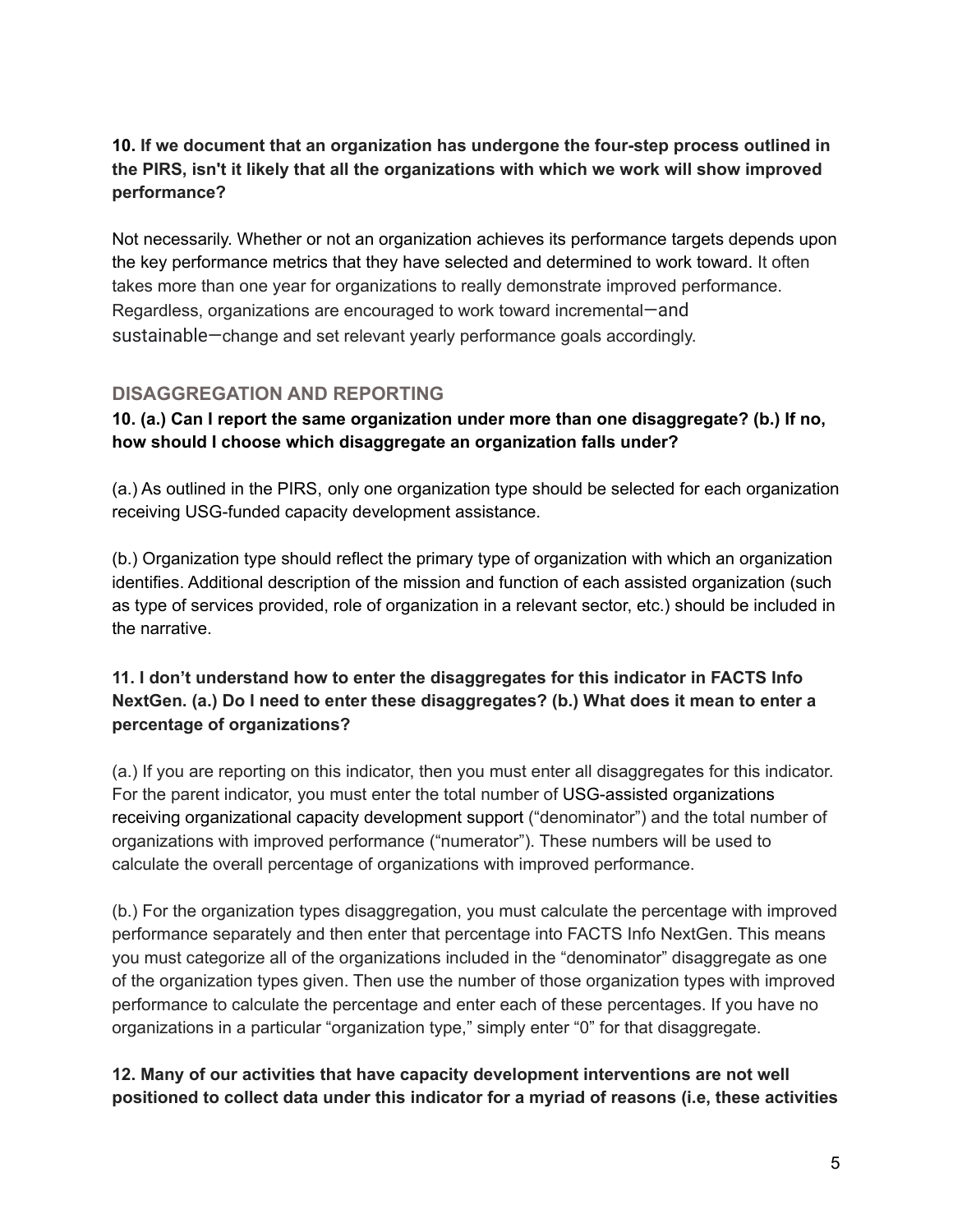# **10. If we document that an organization has undergone the four-step process outlined in the PIRS, isn't it likely that all the organizations with which we work will show improved performance?**

Not necessarily. Whether or not an organization achieves its performance targets depends upon the key performance metrics that they have selected and determined to work toward. It often takes more than one year for organizations to really demonstrate improved performance. Regardless, organizations are encouraged to work toward incremental—and sustainable—change and set relevant yearly performance goals accordingly.

## **DISAGGREGATION AND REPORTING**

## **10. (a.) Can I report the same organization under more than one disaggregate? (b.) If no, how should I choose which disaggregate an organization falls under?**

(a.) As outlined in the PIRS, only one organization type should be selected for each organization receiving USG-funded capacity development assistance.

(b.) Organization type should reflect the primary type of organization with which an organization identifies. Additional description of the mission and function of each assisted organization (such as type of services provided, role of organization in a relevant sector, etc.) should be included in the narrative.

## **11. I don't understand how to enter the disaggregates for this indicator in FACTS Info NextGen. (a.) Do I need to enter these disaggregates? (b.) What does it mean to enter a percentage of organizations?**

(a.) If you are reporting on this indicator, then you must enter all disaggregates for this indicator. For the parent indicator, you must enter the total number of USG-assisted organizations receiving organizational capacity development support ("denominator") and the total number of organizations with improved performance ("numerator"). These numbers will be used to calculate the overall percentage of organizations with improved performance.

(b.) For the organization types disaggregation, you must calculate the percentage with improved performance separately and then enter that percentage into FACTS Info NextGen. This means you must categorize all of the organizations included in the "denominator" disaggregate as one of the organization types given. Then use the number of those organization types with improved performance to calculate the percentage and enter each of these percentages. If you have no organizations in a particular "organization type," simply enter "0" for that disaggregate.

## **12. Many of our activities that have capacity development interventions are not well positioned to collect data under this indicator for a myriad of reasons (i.e, these activities**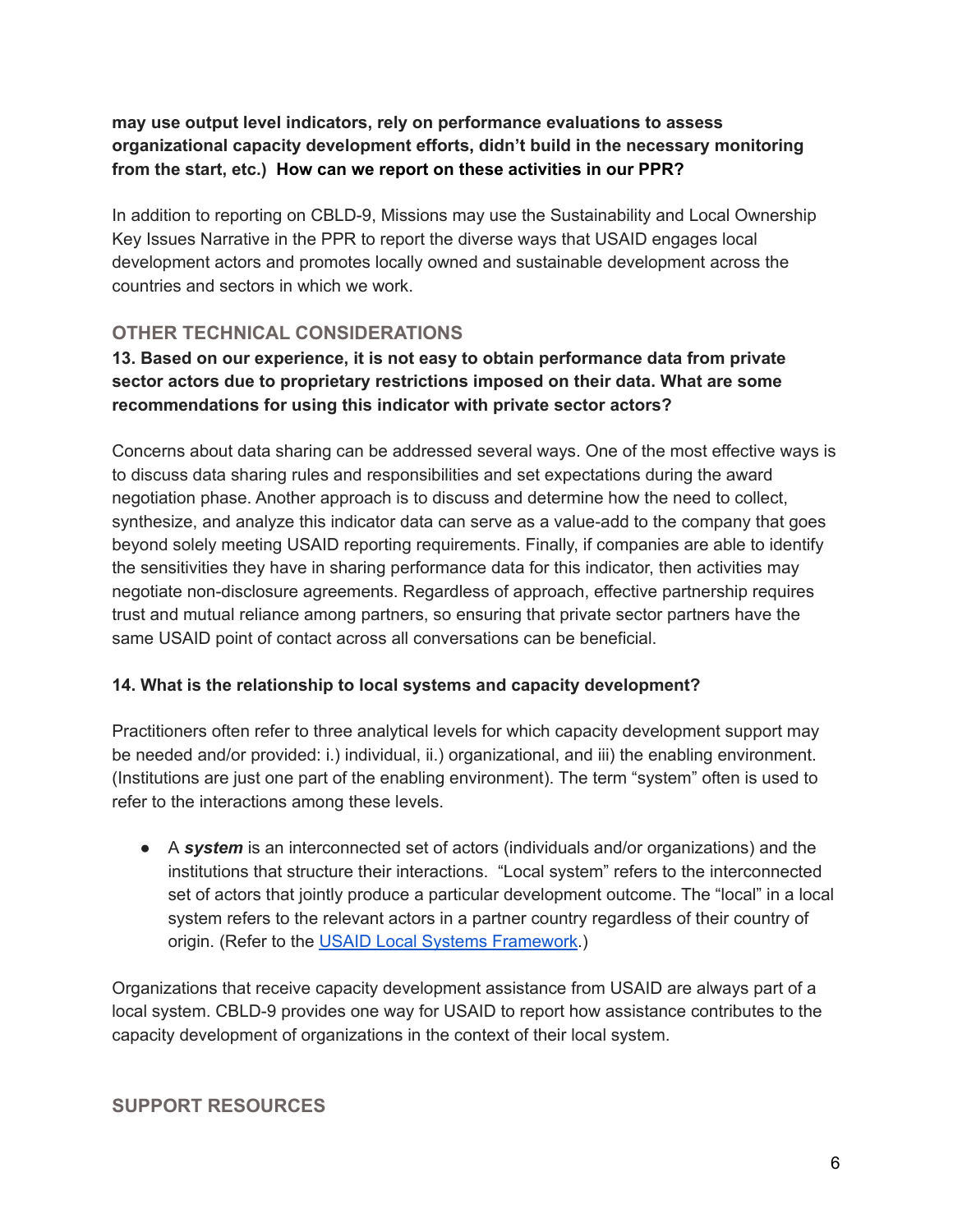**may use output level indicators, rely on performance evaluations to assess organizational capacity development efforts, didn't build in the necessary monitoring from the start, etc.) How can we report on these activities in our PPR?**

In addition to reporting on CBLD-9, Missions may use the Sustainability and Local Ownership Key Issues Narrative in the PPR to report the diverse ways that USAID engages local development actors and promotes locally owned and sustainable development across the countries and sectors in which we work.

# **OTHER TECHNICAL CONSIDERATIONS**

# **13. Based on our experience, it is not easy to obtain performance data from private sector actors due to proprietary restrictions imposed on their data. What are some recommendations for using this indicator with private sector actors?**

Concerns about data sharing can be addressed several ways. One of the most effective ways is to discuss data sharing rules and responsibilities and set expectations during the award negotiation phase. Another approach is to discuss and determine how the need to collect, synthesize, and analyze this indicator data can serve as a value-add to the company that goes beyond solely meeting USAID reporting requirements. Finally, if companies are able to identify the sensitivities they have in sharing performance data for this indicator, then activities may negotiate non-disclosure agreements. Regardless of approach, effective partnership requires trust and mutual reliance among partners, so ensuring that private sector partners have the same USAID point of contact across all conversations can be beneficial.

# **14. What is the relationship to local systems and capacity development?**

Practitioners often refer to three analytical levels for which capacity development support may be needed and/or provided: i.) individual, ii.) organizational, and iii) the enabling environment. (Institutions are just one part of the enabling environment). The term "system" often is used to refer to the interactions among these levels.

● A *system* is an interconnected set of actors (individuals and/or organizations) and the institutions that structure their interactions. "Local system" refers to the interconnected set of actors that jointly produce a particular development outcome. The "local" in a local system refers to the relevant actors in a partner country regardless of their country of origin. (Refer to the USAID Local Systems [Framework](https://www.usaid.gov/policy/local-systems-framework).)

Organizations that receive capacity development assistance from USAID are always part of a local system. CBLD-9 provides one way for USAID to report how assistance contributes to the capacity development of organizations in the context of their local system.

# **SUPPORT RESOURCES**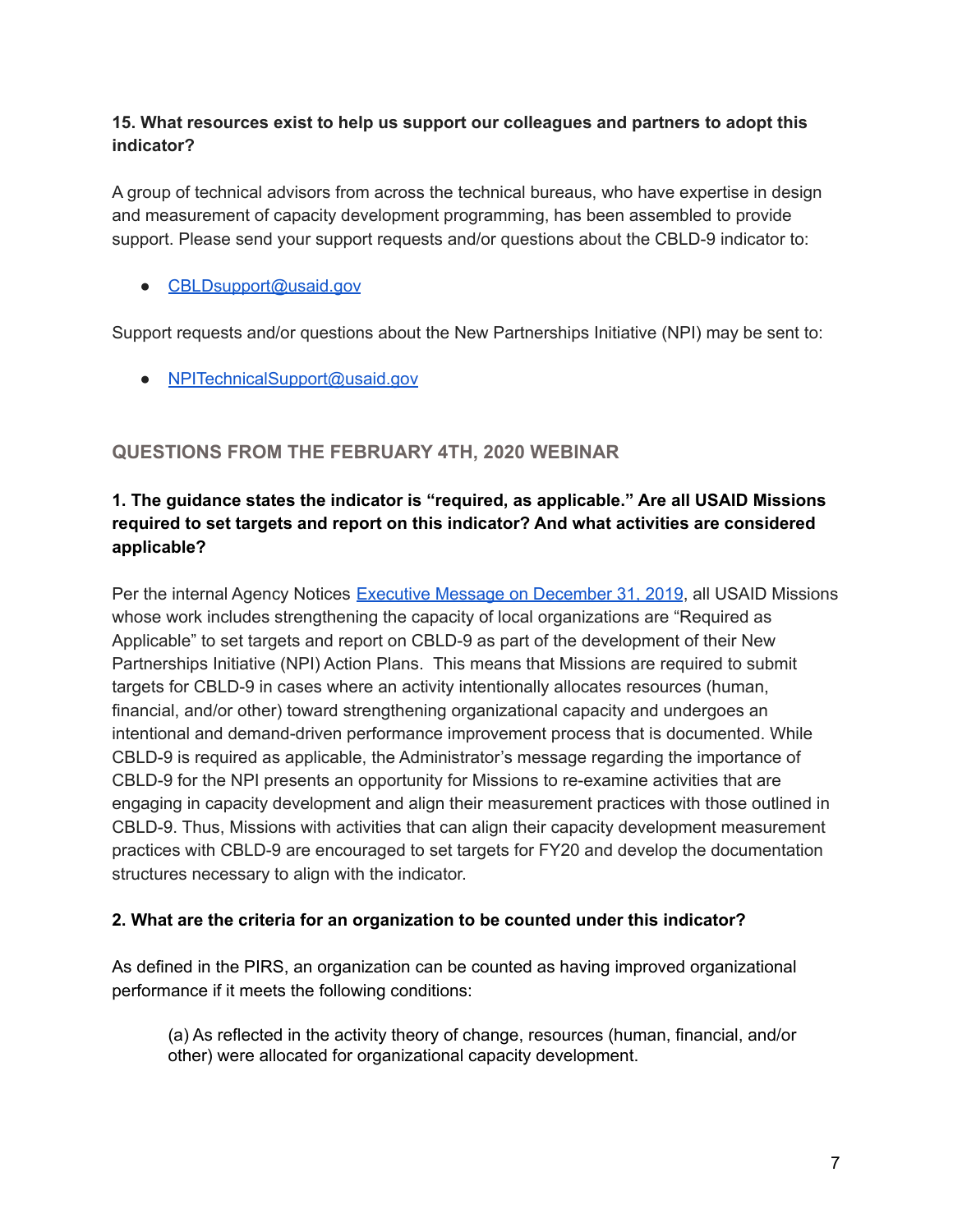## **15. What resources exist to help us support our colleagues and partners to adopt this indicator?**

A group of technical advisors from across the technical bureaus, who have expertise in design and measurement of capacity development programming, has been assembled to provide support. Please send your support requests and/or questions about the CBLD-9 indicator to:

● [CBLDsupport@usaid.gov](mailto:CBLDsupport@USAID.gov)

Support requests and/or questions about the New Partnerships Initiative (NPI) may be sent to:

● NPITechnicalSupport@usaid.gov

# **QUESTIONS FROM THE FEBRUARY 4TH, 2020 WEBINAR**

# **1. The guidance states the indicator is "required, as applicable." Are all USAID Missions required to set targets and report on this indicator? And what activities are considered applicable?**

Per the internal Agency Notices Executive Message on [December](https://notices.usaid.gov/notice/54522) 31, 2019, all USAID Missions whose work includes strengthening the capacity of local organizations are "Required as Applicable" to set targets and report on CBLD-9 as part of the development of their New Partnerships Initiative (NPI) Action Plans. This means that Missions are required to submit targets for CBLD-9 in cases where an activity intentionally allocates resources (human, financial, and/or other) toward strengthening organizational capacity and undergoes an intentional and demand-driven performance improvement process that is documented. While CBLD-9 is required as applicable, the Administrator's message regarding the importance of CBLD-9 for the NPI presents an opportunity for Missions to re-examine activities that are engaging in capacity development and align their measurement practices with those outlined in CBLD-9. Thus, Missions with activities that can align their capacity development measurement practices with CBLD-9 are encouraged to set targets for FY20 and develop the documentation structures necessary to align with the indicator.

#### **2. What are the criteria for an organization to be counted under this indicator?**

As defined in the PIRS, an organization can be counted as having improved organizational performance if it meets the following conditions:

(a) As reflected in the activity theory of change, resources (human, financial, and/or other) were allocated for organizational capacity development.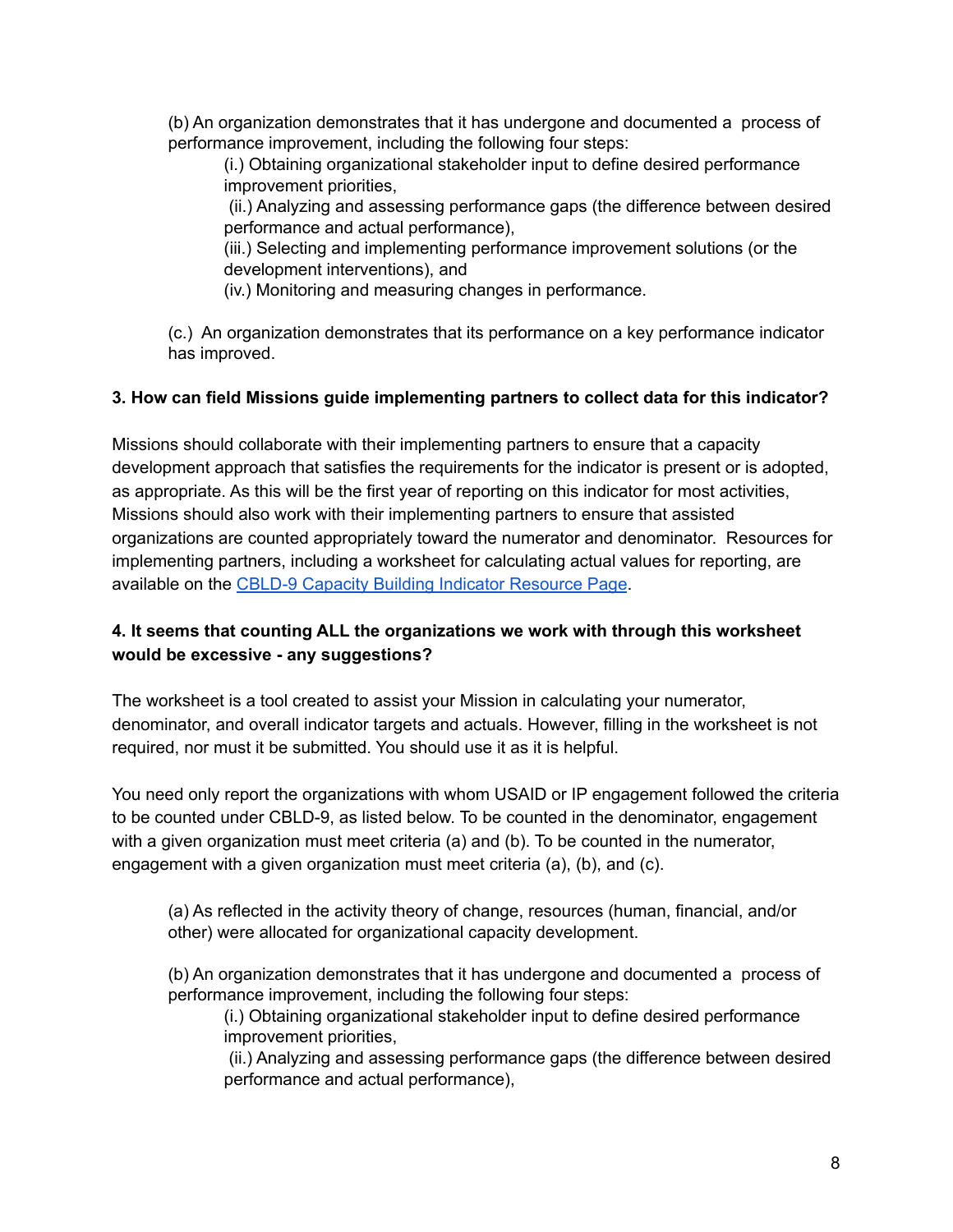(b) An organization demonstrates that it has undergone and documented a process of performance improvement, including the following four steps:

(i.) Obtaining organizational stakeholder input to define desired performance improvement priorities,

(ii.) Analyzing and assessing performance gaps (the difference between desired performance and actual performance),

(iii.) Selecting and implementing performance improvement solutions (or the development interventions), and

(iv.) Monitoring and measuring changes in performance.

(c.) An organization demonstrates that its performance on a key performance indicator has improved.

#### **3. How can field Missions guide implementing partners to collect data for this indicator?**

Missions should collaborate with their implementing partners to ensure that a capacity development approach that satisfies the requirements for the indicator is present or is adopted, as appropriate. As this will be the first year of reporting on this indicator for most activities, Missions should also work with their implementing partners to ensure that assisted organizations are counted appropriately toward the numerator and denominator. Resources for implementing partners, including a worksheet for calculating actual values for reporting, are available on the CBLD-9 Capacity Building Indicator [Resource](https://www.usaid.gov/npi/capacity-building-indicator-resources) Page.

## **4. It seems that counting ALL the organizations we work with through this worksheet would be excessive - any suggestions?**

The worksheet is a tool created to assist your Mission in calculating your numerator, denominator, and overall indicator targets and actuals. However, filling in the worksheet is not required, nor must it be submitted. You should use it as it is helpful.

You need only report the organizations with whom USAID or IP engagement followed the criteria to be counted under CBLD-9, as listed below. To be counted in the denominator, engagement with a given organization must meet criteria (a) and (b). To be counted in the numerator, engagement with a given organization must meet criteria (a), (b), and (c).

(a) As reflected in the activity theory of change, resources (human, financial, and/or other) were allocated for organizational capacity development.

(b) An organization demonstrates that it has undergone and documented a process of performance improvement, including the following four steps:

(i.) Obtaining organizational stakeholder input to define desired performance improvement priorities,

(ii.) Analyzing and assessing performance gaps (the difference between desired performance and actual performance),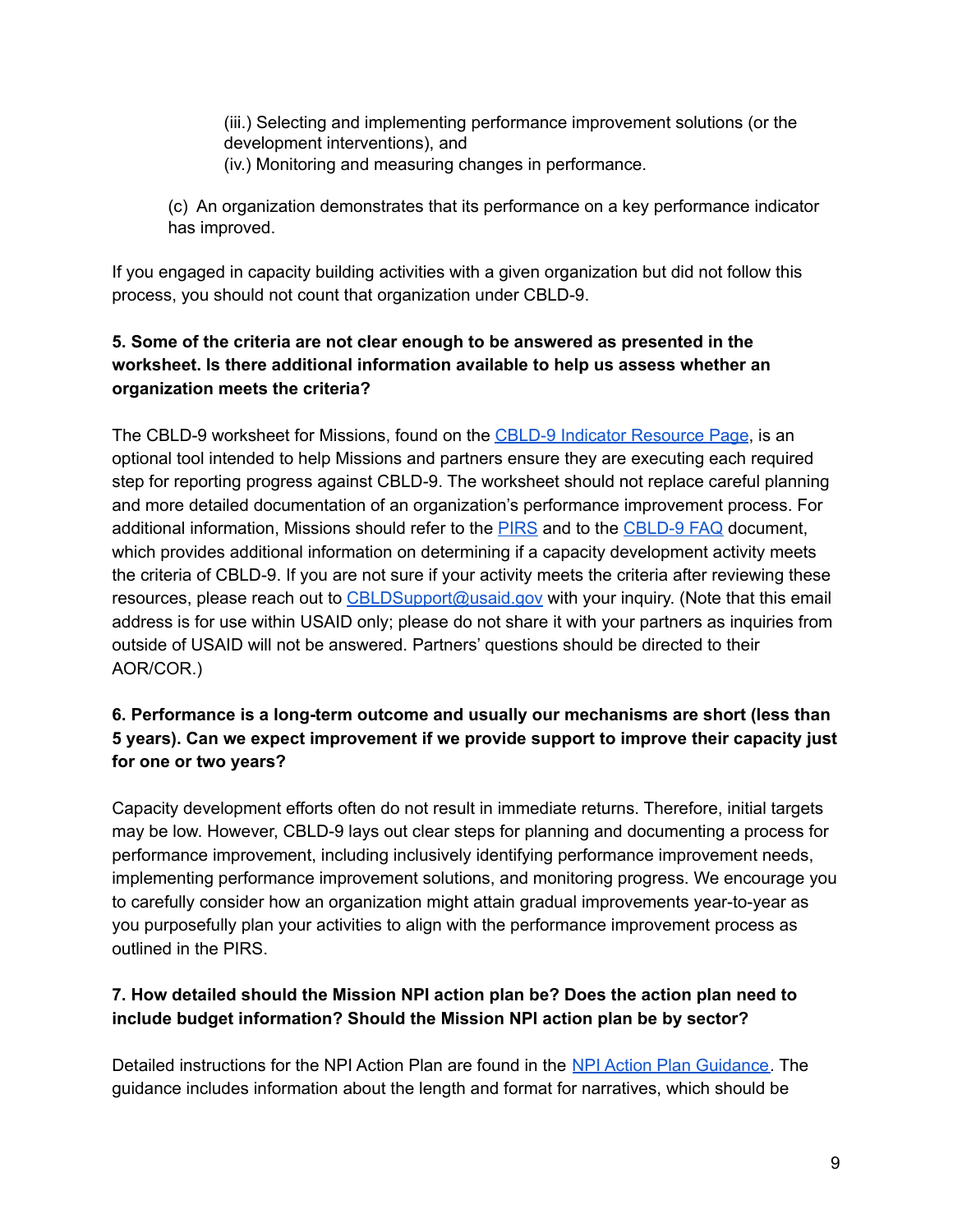(iii.) Selecting and implementing performance improvement solutions (or the development interventions), and (iv.) Monitoring and measuring changes in performance.

(c) An organization demonstrates that its performance on a key performance indicator has improved.

If you engaged in capacity building activities with a given organization but did not follow this process, you should not count that organization under CBLD-9.

# **5. Some of the criteria are not clear enough to be answered as presented in the worksheet. Is there additional information available to help us assess whether an organization meets the criteria?**

The CBLD-9 worksheet for Missions, found on the CBLD-9 Indicator [Resource](https://www.usaid.gov/npi/capacity-building-indicator-resources) Page, is an optional tool intended to help Missions and partners ensure they are executing each required step for reporting progress against CBLD-9. The worksheet should not replace careful planning and more detailed documentation of an organization's performance improvement process. For additional information, Missions should refer to the [PIRS](https://drive.google.com/open?id=1qiap33rgbw2w38MFqVcDj4wxt6UHL-K5xJf5ZGt4ldc) and to the [CBLD-9](https://drive.google.com/open?id=1TTTXGlFYUPjC0K-YEvQuxmTgUu5QldmN8qBM6VcBeyU) FAQ document, which provides additional information on determining if a capacity development activity meets the criteria of CBLD-9. If you are not sure if your activity meets the criteria after reviewing these resources, please reach out to [CBLDSupport@usaid.gov](mailto:CBLDSupport@usaid.gov) with your inquiry. (Note that this email address is for use within USAID only; please do not share it with your partners as inquiries from outside of USAID will not be answered. Partners' questions should be directed to their AOR/COR.)

# **6. Performance is a long-term outcome and usually our mechanisms are short (less than 5 years). Can we expect improvement if we provide support to improve their capacity just for one or two years?**

Capacity development efforts often do not result in immediate returns. Therefore, initial targets may be low. However, CBLD-9 lays out clear steps for planning and documenting a process for performance improvement, including inclusively identifying performance improvement needs, implementing performance improvement solutions, and monitoring progress. We encourage you to carefully consider how an organization might attain gradual improvements year-to-year as you purposefully plan your activities to align with the performance improvement process as outlined in the PIRS.

# **7. How detailed should the Mission NPI action plan be? Does the action plan need to include budget information? Should the Mission NPI action plan be by sector?**

Detailed instructions for the NPI Action Plan are found in the NPI Action Plan [Guidance.](https://docs.google.com/document/d/12hjd4XOq6YIb5zJf0Px3BtAr57tPnMeEJjcw4zDVGYs/edit) The guidance includes information about the length and format for narratives, which should be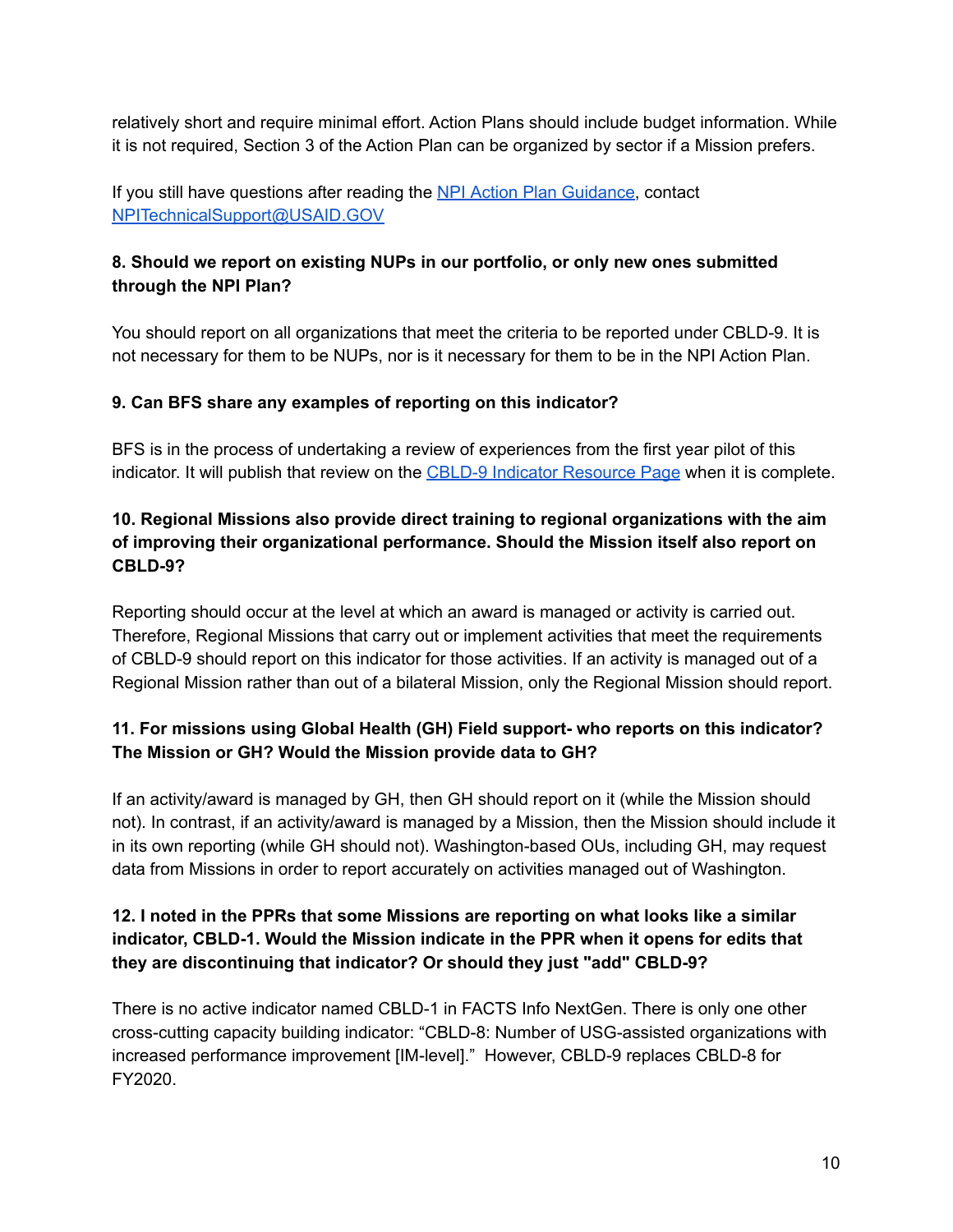relatively short and require minimal effort. Action Plans should include budget information. While it is not required, Section 3 of the Action Plan can be organized by sector if a Mission prefers.

If you still have questions after reading the NPI Action Plan [Guidance](https://docs.google.com/document/d/12hjd4XOq6YIb5zJf0Px3BtAr57tPnMeEJjcw4zDVGYs/edit), contact [NPITechnicalSupport@USAID.GOV](mailto:NPITechnicalSupport@USAID.GOV)

# **8. Should we report on existing NUPs in our portfolio, or only new ones submitted through the NPI Plan?**

You should report on all organizations that meet the criteria to be reported under CBLD-9. It is not necessary for them to be NUPs, nor is it necessary for them to be in the NPI Action Plan.

# **9. Can BFS share any examples of reporting on this indicator?**

BFS is in the process of undertaking a review of experiences from the first year pilot of this indicator. It will publish that review on the CBLD-9 Indicator [Resource](https://www.usaid.gov/npi/capacity-building-indicator-resources) Page when it is complete.

# **10. Regional Missions also provide direct training to regional organizations with the aim of improving their organizational performance. Should the Mission itself also report on CBLD-9?**

Reporting should occur at the level at which an award is managed or activity is carried out. Therefore, Regional Missions that carry out or implement activities that meet the requirements of CBLD-9 should report on this indicator for those activities. If an activity is managed out of a Regional Mission rather than out of a bilateral Mission, only the Regional Mission should report.

# **11. For missions using Global Health (GH) Field support- who reports on this indicator? The Mission or GH? Would the Mission provide data to GH?**

If an activity/award is managed by GH, then GH should report on it (while the Mission should not). In contrast, if an activity/award is managed by a Mission, then the Mission should include it in its own reporting (while GH should not). Washington-based OUs, including GH, may request data from Missions in order to report accurately on activities managed out of Washington.

# **12. I noted in the PPRs that some Missions are reporting on what looks like a similar indicator, CBLD-1. Would the Mission indicate in the PPR when it opens for edits that they are discontinuing that indicator? Or should they just "add" CBLD-9?**

There is no active indicator named CBLD-1 in FACTS Info NextGen. There is only one other cross-cutting capacity building indicator: "CBLD-8: Number of USG-assisted organizations with increased performance improvement [IM-level]." However, CBLD-9 replaces CBLD-8 for FY2020.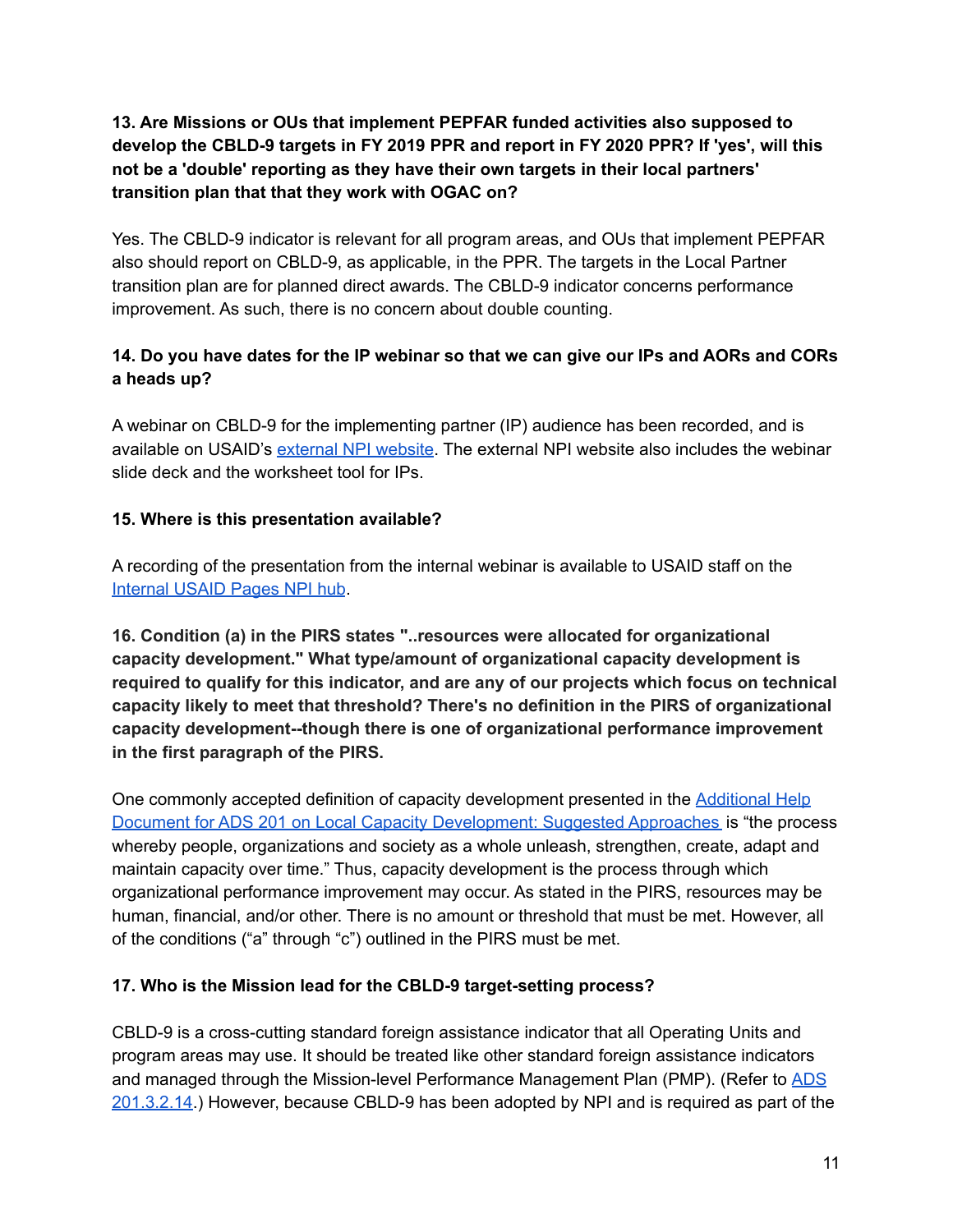# **13. Are Missions or OUs that implement PEPFAR funded activities also supposed to develop the CBLD-9 targets in FY 2019 PPR and report in FY 2020 PPR? If 'yes', will this not be a 'double' reporting as they have their own targets in their local partners' transition plan that that they work with OGAC on?**

Yes. The CBLD-9 indicator is relevant for all program areas, and OUs that implement PEPFAR also should report on CBLD-9, as applicable, in the PPR. The targets in the Local Partner transition plan are for planned direct awards. The CBLD-9 indicator concerns performance improvement. As such, there is no concern about double counting.

# 14. Do you have dates for the IP webinar so that we can give our IPs and AORs and CORs **a heads up?**

A webinar on CBLD-9 for the implementing partner (IP) audience has been recorded, and is available on USAID's [external](https://www.usaid.gov/npi/capacity-building-indicator-resources) NPI website. The external NPI website also includes the webinar slide deck and the worksheet tool for IPs.

## **15. Where is this presentation available?**

A recording of the presentation from the internal webinar is available to USAID staff on the [Internal](https://pages.usaid.gov/M/OAA/cbld-9-capacity-building-indicator-resource-page) USAID Pages NPI hub.

**16. Condition (a) in the PIRS states "..resources were allocated for organizational capacity development." What type/amount of organizational capacity development is required to qualify for this indicator, and are any of our projects which focus on technical capacity likely to meet that threshold? There's no definition in the PIRS of organizational capacity development--though there is one of organizational performance improvement in the first paragraph of the PIRS.**

One commonly accepted definition of capacity development presented in the [Additional](https://www.usaid.gov/sites/default/files/documents/2496/Local_Capacity_Development_Suggest_Approaches_1.pdf) Help Document for ADS 201 on Local Capacity [Development:](https://www.usaid.gov/sites/default/files/documents/2496/Local_Capacity_Development_Suggest_Approaches_1.pdf) Suggested Approaches is "the process whereby people, organizations and society as a whole unleash, strengthen, create, adapt and maintain capacity over time." Thus, capacity development is the process through which organizational performance improvement may occur. As stated in the PIRS, resources may be human, financial, and/or other. There is no amount or threshold that must be met. However, all of the conditions ("a" through "c") outlined in the PIRS must be met.

#### **17. Who is the Mission lead for the CBLD-9 target-setting process?**

CBLD-9 is a cross-cutting standard foreign assistance indicator that all Operating Units and program areas may use. It should be treated like other standard foreign assistance indicators and managed through the Mission-level Performance Management Plan (PMP). (Refer to [ADS](https://www.usaid.gov/sites/default/files/documents/1870/201.pdf) [201.3.2.14.](https://www.usaid.gov/sites/default/files/documents/1870/201.pdf)) However, because CBLD-9 has been adopted by NPI and is required as part of the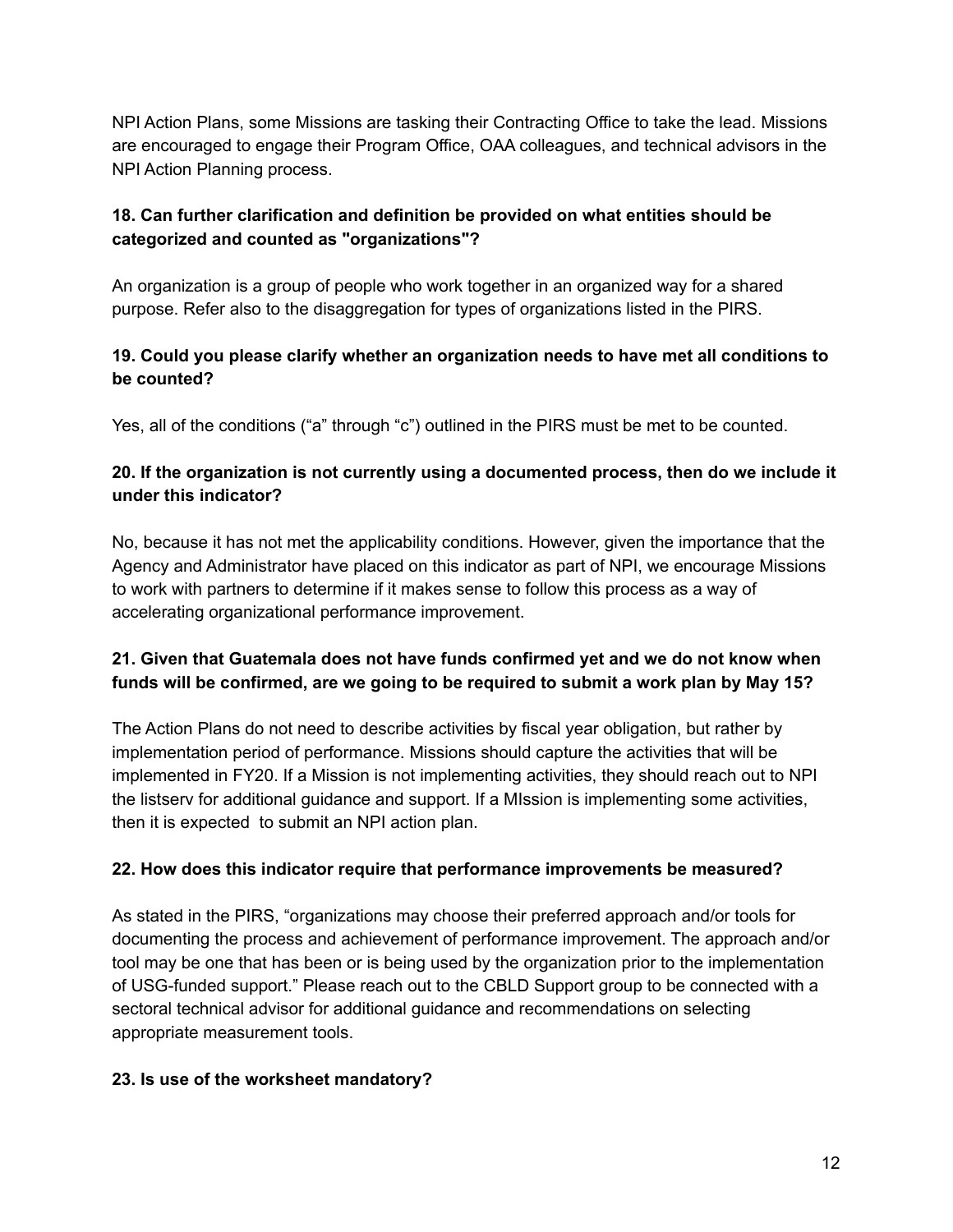NPI Action Plans, some Missions are tasking their Contracting Office to take the lead. Missions are encouraged to engage their Program Office, OAA colleagues, and technical advisors in the NPI Action Planning process.

# **18. Can further clarification and definition be provided on what entities should be categorized and counted as "organizations"?**

An organization is a group of people who work together in an organized way for a shared purpose. Refer also to the disaggregation for types of organizations listed in the PIRS.

# **19. Could you please clarify whether an organization needs to have met all conditions to be counted?**

Yes, all of the conditions ("a" through "c") outlined in the PIRS must be met to be counted.

# **20. If the organization is not currently using a documented process, then do we include it under this indicator?**

No, because it has not met the applicability conditions. However, given the importance that the Agency and Administrator have placed on this indicator as part of NPI, we encourage Missions to work with partners to determine if it makes sense to follow this process as a way of accelerating organizational performance improvement.

# **21. Given that Guatemala does not have funds confirmed yet and we do not know when funds will be confirmed, are we going to be required to submit a work plan by May 15?**

The Action Plans do not need to describe activities by fiscal year obligation, but rather by implementation period of performance. Missions should capture the activities that will be implemented in FY20. If a Mission is not implementing activities, they should reach out to NPI the listserv for additional guidance and support. If a MIssion is implementing some activities, then it is expected to submit an NPI action plan.

# **22. How does this indicator require that performance improvements be measured?**

As stated in the PIRS, "organizations may choose their preferred approach and/or tools for documenting the process and achievement of performance improvement. The approach and/or tool may be one that has been or is being used by the organization prior to the implementation of USG-funded support." Please reach out to the CBLD Support group to be connected with a sectoral technical advisor for additional guidance and recommendations on selecting appropriate measurement tools.

#### **23. Is use of the worksheet mandatory?**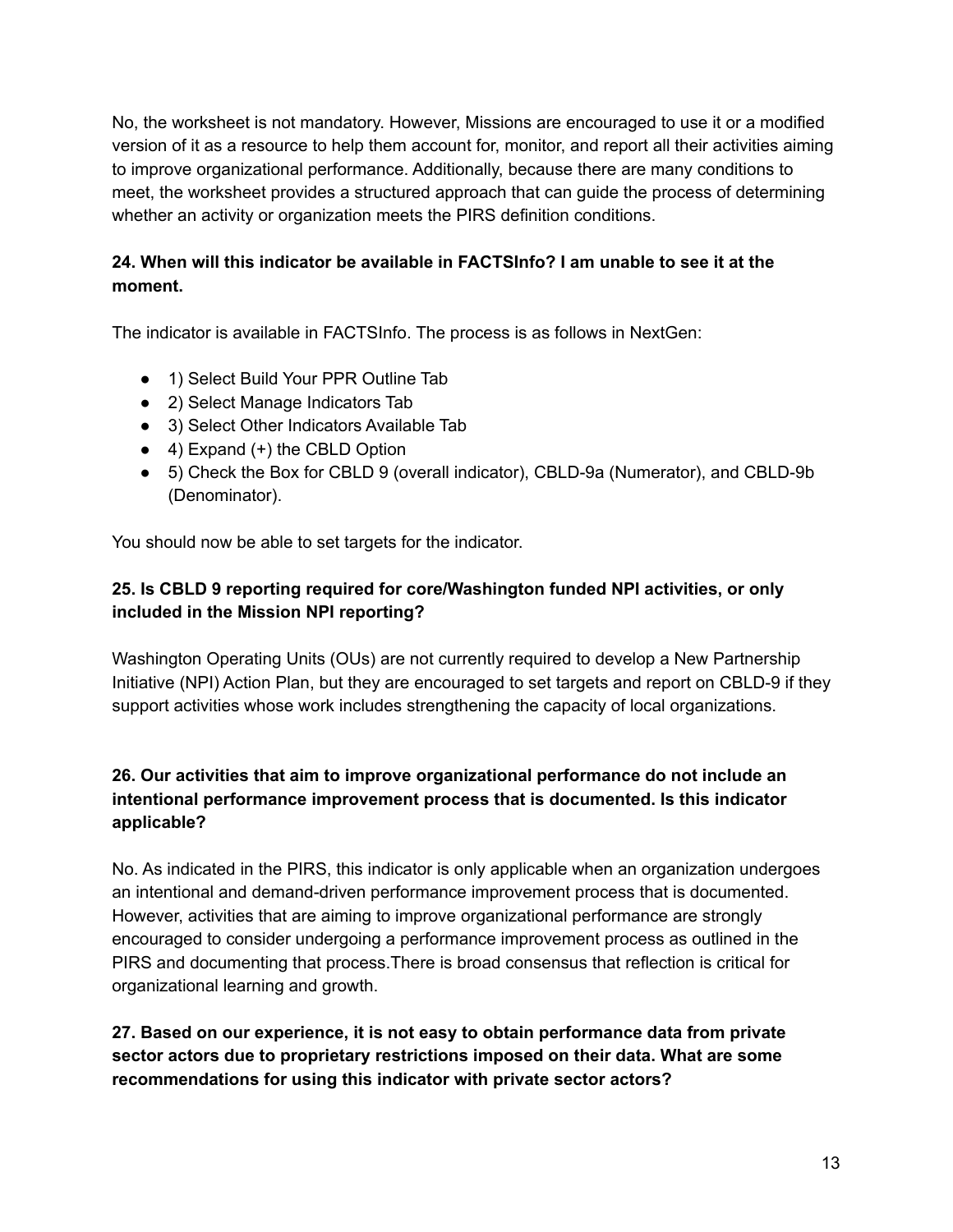No, the worksheet is not mandatory. However, Missions are encouraged to use it or a modified version of it as a resource to help them account for, monitor, and report all their activities aiming to improve organizational performance. Additionally, because there are many conditions to meet, the worksheet provides a structured approach that can guide the process of determining whether an activity or organization meets the PIRS definition conditions.

# **24. When will this indicator be available in FACTSInfo? I am unable to see it at the moment.**

The indicator is available in FACTSInfo. The process is as follows in NextGen:

- 1) Select Build Your PPR Outline Tab
- 2) Select Manage Indicators Tab
- 3) Select Other Indicators Available Tab
- $\bullet$  4) Expand (+) the CBLD Option
- 5) Check the Box for CBLD 9 (overall indicator), CBLD-9a (Numerator), and CBLD-9b (Denominator).

You should now be able to set targets for the indicator.

# **25. Is CBLD 9 reporting required for core/Washington funded NPI activities, or only included in the Mission NPI reporting?**

Washington Operating Units (OUs) are not currently required to develop a New Partnership Initiative (NPI) Action Plan, but they are encouraged to set targets and report on CBLD-9 if they support activities whose work includes strengthening the capacity of local organizations.

## **26. Our activities that aim to improve organizational performance do not include an intentional performance improvement process that is documented. Is this indicator applicable?**

No. As indicated in the PIRS, this indicator is only applicable when an organization undergoes an intentional and demand-driven performance improvement process that is documented. However, activities that are aiming to improve organizational performance are strongly encouraged to consider undergoing a performance improvement process as outlined in the PIRS and documenting that process.There is broad consensus that reflection is critical for organizational learning and growth.

## **27. Based on our experience, it is not easy to obtain performance data from private sector actors due to proprietary restrictions imposed on their data. What are some recommendations for using this indicator with private sector actors?**